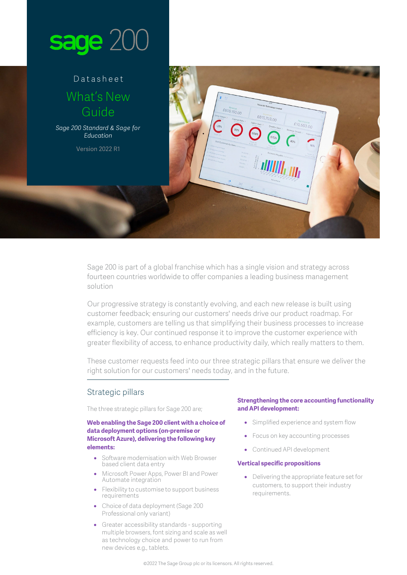

# Datasheet What's New Guide

*Sage 200 Standard & Sage for Education*

Version 2022 R1

Sage 200 is part of a global franchise which has a single vision and strategy across fourteen countries worldwide to offer companies a leading business management solution

£605,150.00

£615,703.00

 $£10,553,00$ 

Our progressive strategy is constantly evolving, and each new release is built using customer feedback; ensuring our customers' needs drive our product roadmap. For example, customers are telling us that simplifying their business processes to increase efficiency is key. Our continued response it to improve the customer experience with greater flexibility of access, to enhance productivity daily, which really matters to them.

These customer requests feed into our three strategic pillars that ensure we deliver the right solution for our customers' needs today, and in the future.

### Strategic pillars

The three strategic pillars for Sage 200 are;

#### **Web enabling the Sage 200 client with a choice of data deployment options (on-premise or Microsoft Azure), delivering the following key elements:**

- Software modernisation with Web Browser based client data entry
- Microsoft Power Apps, Power BI and Power Automate integration
- Flexibility to customise to support business requirements
- Choice of data deployment (Sage 200 Professional only variant)
- Greater accessibility standards supporting multiple browsers, font sizing and scale as well as technology choice and power to run from new devices e.g., tablets.

#### **Strengthening the core accounting functionality and API development:**

- Simplified experience and system flow
- Focus on key accounting processes
- Continued API development

#### **Vertical specific propositions**

• Delivering the appropriate feature set for customers, to support their industry requirements.